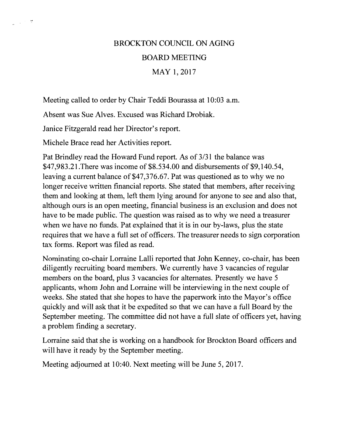# BROCKTON COUNCIL ON AGING BOARD MEETING MAY 1, 2017

Meeting called to order by Chair Teddi Bourassa at 10:03 a.m.

Absent was Sue Alves. Excused was Richard Drobiak.

Janice Fitzgerald read her Director's report.

Michele Brace read her Activities report.

 $\mathbb{Z}^{n+1}$  .  $\mathfrak{A}$ 

Pat Brindley read the Howard Fund report. As of 3/31 the balance was \$47,983.21.There was income of \$8.534.00 and disbursements of \$9,140.54, leaving a current balance of \$47,376.67. Pat was questioned as to why we no longer receive written financial reports. She stated that members, after receiving them and looking at them, left them lying around for anyone to see and also that, although ours is an open meeting, financial business is an exclusion and does not have to be made public. The question was raised as to why we need a treasurer when we have no funds. Pat explained that it is in our by-laws, plus the state requires that we have a full set of officers. The treasurer needs to sign corporation tax forms. Report was filed as read.

Nominating co-chair Lorraine Lalli reported that John Kenney, co-chair, has been diligently recruiting board members. We currently have 3 vacancies of regular members on the board, plus 3 vacancies for alternates. Presently we have 5 applicants, whom John and Lorraine will be interviewing in the next couple of weeks. She stated that she hopes to have the paperwork into the Mayor's office quickly and will ask that it be expedited so that we can have a full Board by the September meeting. The committee did not have a full slate of officers yet, having a problem finding a secretary.

Lorraine said that she is working on a handbook for Brockton Board officers and will have it ready by the September meeting.

Meeting adjourned at 10:40. Next meeting will be June 5, 2017.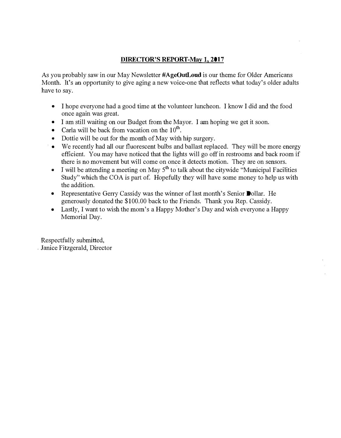#### **DIRECTOR'S REPORT-May 1, 2017**

As you probably saw in our May Newsletter **#AgeOutLoud** is our theme for Older Americans Month. It's an opportunity to give aging a new voice-one that reflects what today's older adults have to say.

- I hope everyone had a good time at the volunteer luncheon. I know I did and the food once again was great.
- I am still waiting on our Budget from the Mayor. I am hoping we get it soon.
- Carla will be back from vacation on the 10<sup>th</sup>.
- Dottie will be out for the month of May with hip surgery.
- We recently had all our fluorescent bulbs and ballast replaced. They will be more energy efficient. You may have noticed that the lights will go off in restrooms and back room if there is no movement but will come on once it detects motion. They are on sensors.
- I will be attending a meeting on May 5<sup>th</sup> to talk about the citywide "Municipal Facilities" Study" which the COA is part of. Hopefully they will have some money to help us with the addition.
- Representative Gerry Cassidy was the winner of last month's Senior Dollar. He generously donated the \$100.00 back to the Friends. Thank you Rep. Cassidy.
- Lastly, I want to wish the mom's a Happy Mother's Day and wish everyone a Happy Memorial Day.

Respectfully submitted, . Janice Fitzgerald, Director